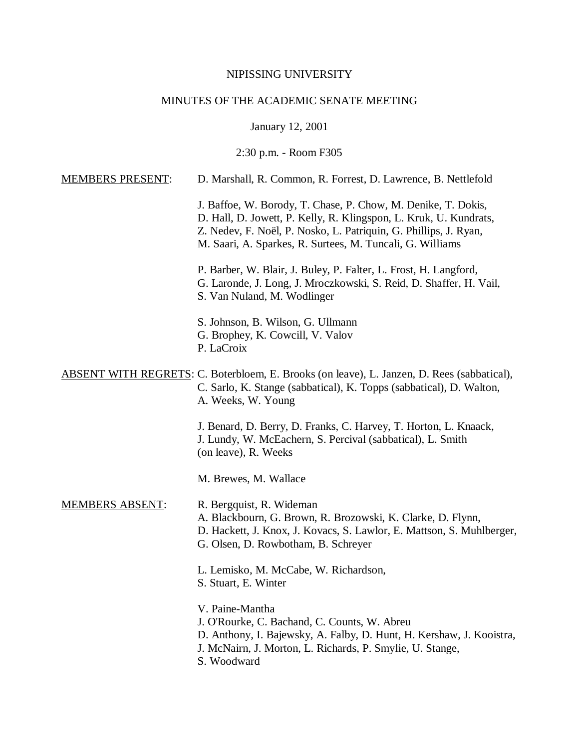## NIPISSING UNIVERSITY

# MINUTES OF THE ACADEMIC SENATE MEETING

January 12, 2001

2:30 p.m. - Room F305

| <b>MEMBERS PRESENT:</b> | D. Marshall, R. Common, R. Forrest, D. Lawrence, B. Nettlefold                                                                                                                                                                                                      |  |  |  |
|-------------------------|---------------------------------------------------------------------------------------------------------------------------------------------------------------------------------------------------------------------------------------------------------------------|--|--|--|
|                         | J. Baffoe, W. Borody, T. Chase, P. Chow, M. Denike, T. Dokis,<br>D. Hall, D. Jowett, P. Kelly, R. Klingspon, L. Kruk, U. Kundrats,<br>Z. Nedev, F. Noël, P. Nosko, L. Patriquin, G. Phillips, J. Ryan,<br>M. Saari, A. Sparkes, R. Surtees, M. Tuncali, G. Williams |  |  |  |
|                         | P. Barber, W. Blair, J. Buley, P. Falter, L. Frost, H. Langford,<br>G. Laronde, J. Long, J. Mroczkowski, S. Reid, D. Shaffer, H. Vail,<br>S. Van Nuland, M. Wodlinger                                                                                               |  |  |  |
|                         | S. Johnson, B. Wilson, G. Ullmann<br>G. Brophey, K. Cowcill, V. Valov<br>P. LaCroix                                                                                                                                                                                 |  |  |  |
|                         | <b>ABSENT WITH REGRETS: C. Boterbloem, E. Brooks (on leave), L. Janzen, D. Rees (sabbatical),</b><br>C. Sarlo, K. Stange (sabbatical), K. Topps (sabbatical), D. Walton,<br>A. Weeks, W. Young                                                                      |  |  |  |
|                         | J. Benard, D. Berry, D. Franks, C. Harvey, T. Horton, L. Knaack,<br>J. Lundy, W. McEachern, S. Percival (sabbatical), L. Smith<br>(on leave), R. Weeks                                                                                                              |  |  |  |
|                         | M. Brewes, M. Wallace                                                                                                                                                                                                                                               |  |  |  |
| <b>MEMBERS ABSENT:</b>  | R. Bergquist, R. Wideman<br>A. Blackbourn, G. Brown, R. Brozowski, K. Clarke, D. Flynn,<br>D. Hackett, J. Knox, J. Kovacs, S. Lawlor, E. Mattson, S. Muhlberger,<br>G. Olsen, D. Rowbotham, B. Schreyer                                                             |  |  |  |
|                         | L. Lemisko, M. McCabe, W. Richardson,<br>S. Stuart, E. Winter                                                                                                                                                                                                       |  |  |  |
|                         | V. Paine-Mantha<br>J. O'Rourke, C. Bachand, C. Counts, W. Abreu<br>D. Anthony, I. Bajewsky, A. Falby, D. Hunt, H. Kershaw, J. Kooistra,<br>J. McNairn, J. Morton, L. Richards, P. Smylie, U. Stange,<br>S. Woodward                                                 |  |  |  |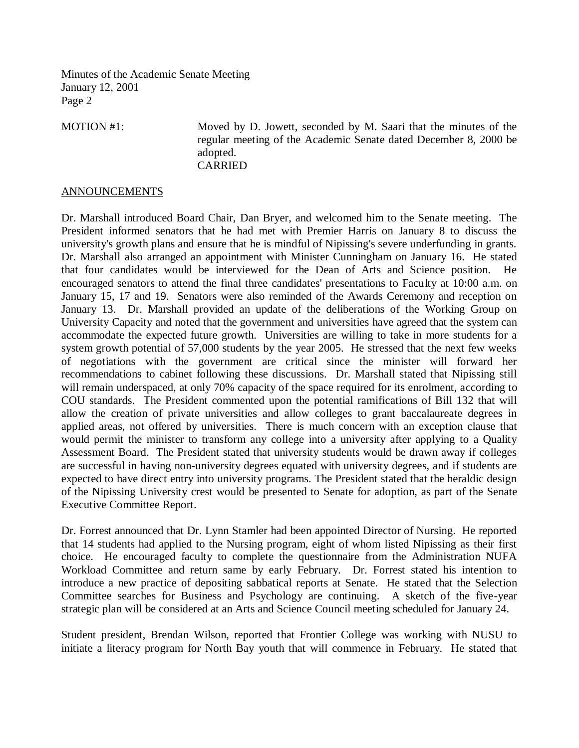MOTION #1: Moved by D. Jowett, seconded by M. Saari that the minutes of the regular meeting of the Academic Senate dated December 8, 2000 be adopted. CARRIED

## **ANNOUNCEMENTS**

Dr. Marshall introduced Board Chair, Dan Bryer, and welcomed him to the Senate meeting. The President informed senators that he had met with Premier Harris on January 8 to discuss the university's growth plans and ensure that he is mindful of Nipissing's severe underfunding in grants. Dr. Marshall also arranged an appointment with Minister Cunningham on January 16. He stated that four candidates would be interviewed for the Dean of Arts and Science position. He encouraged senators to attend the final three candidates' presentations to Faculty at 10:00 a.m. on January 15, 17 and 19. Senators were also reminded of the Awards Ceremony and reception on January 13. Dr. Marshall provided an update of the deliberations of the Working Group on University Capacity and noted that the government and universities have agreed that the system can accommodate the expected future growth. Universities are willing to take in more students for a system growth potential of 57,000 students by the year 2005. He stressed that the next few weeks of negotiations with the government are critical since the minister will forward her recommendations to cabinet following these discussions. Dr. Marshall stated that Nipissing still will remain underspaced, at only 70% capacity of the space required for its enrolment, according to COU standards. The President commented upon the potential ramifications of Bill 132 that will allow the creation of private universities and allow colleges to grant baccalaureate degrees in applied areas, not offered by universities. There is much concern with an exception clause that would permit the minister to transform any college into a university after applying to a Quality Assessment Board. The President stated that university students would be drawn away if colleges are successful in having non-university degrees equated with university degrees, and if students are expected to have direct entry into university programs. The President stated that the heraldic design of the Nipissing University crest would be presented to Senate for adoption, as part of the Senate Executive Committee Report.

Dr. Forrest announced that Dr. Lynn Stamler had been appointed Director of Nursing. He reported that 14 students had applied to the Nursing program, eight of whom listed Nipissing as their first choice. He encouraged faculty to complete the questionnaire from the Administration NUFA Workload Committee and return same by early February. Dr. Forrest stated his intention to introduce a new practice of depositing sabbatical reports at Senate. He stated that the Selection Committee searches for Business and Psychology are continuing. A sketch of the five-year strategic plan will be considered at an Arts and Science Council meeting scheduled for January 24.

Student president, Brendan Wilson, reported that Frontier College was working with NUSU to initiate a literacy program for North Bay youth that will commence in February. He stated that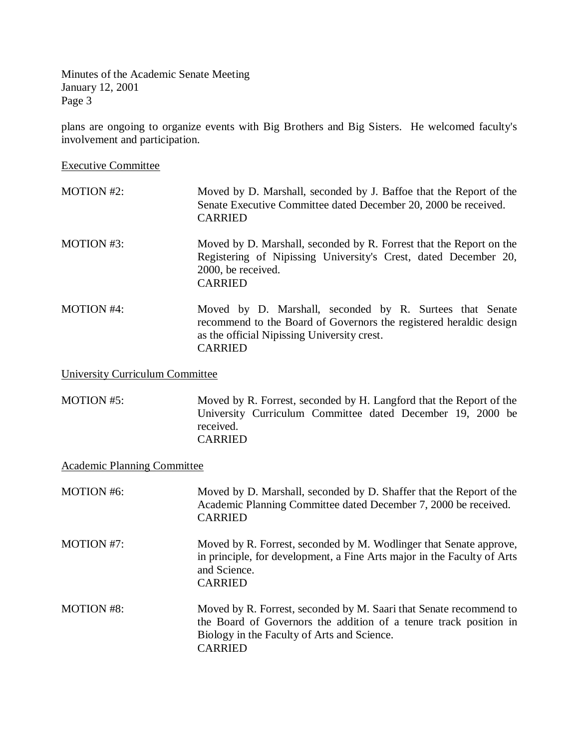plans are ongoing to organize events with Big Brothers and Big Sisters. He welcomed faculty's involvement and participation.

Executive Committee

- MOTION #2: Moved by D. Marshall, seconded by J. Baffoe that the Report of the Senate Executive Committee dated December 20, 2000 be received. CARRIED
- MOTION #3: Moved by D. Marshall, seconded by R. Forrest that the Report on the Registering of Nipissing University's Crest, dated December 20, 2000, be received. CARRIED
- MOTION #4: Moved by D. Marshall, seconded by R. Surtees that Senate recommend to the Board of Governors the registered heraldic design as the official Nipissing University crest. CARRIED

University Curriculum Committee

MOTION #5: Moved by R. Forrest, seconded by H. Langford that the Report of the University Curriculum Committee dated December 19, 2000 be received. CARRIED

Academic Planning Committee

| <b>MOTION</b> #6: | Moved by D. Marshall, seconded by D. Shaffer that the Report of the<br>Academic Planning Committee dated December 7, 2000 be received.<br><b>CARRIED</b>                                                 |
|-------------------|----------------------------------------------------------------------------------------------------------------------------------------------------------------------------------------------------------|
| <b>MOTION #7:</b> | Moved by R. Forrest, seconded by M. Wodlinger that Senate approve,<br>in principle, for development, a Fine Arts major in the Faculty of Arts<br>and Science.<br><b>CARRIED</b>                          |
| MOTION #8:        | Moved by R. Forrest, seconded by M. Saari that Senate recommend to<br>the Board of Governors the addition of a tenure track position in<br>Biology in the Faculty of Arts and Science.<br><b>CARRIED</b> |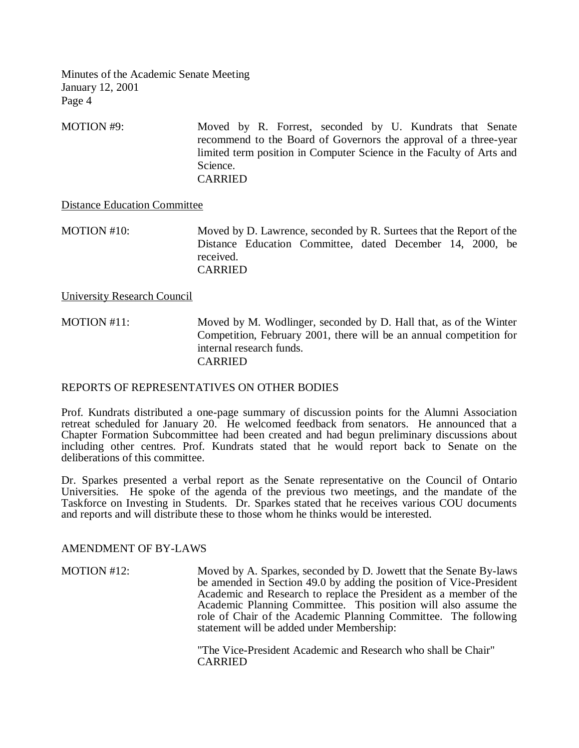MOTION #9: Moved by R. Forrest, seconded by U. Kundrats that Senate recommend to the Board of Governors the approval of a three-year limited term position in Computer Science in the Faculty of Arts and Science. CARRIED

## Distance Education Committee

MOTION #10: Moved by D. Lawrence, seconded by R. Surtees that the Report of the Distance Education Committee, dated December 14, 2000, be received. CARRIED

University Research Council

MOTION #11: Moved by M. Wodlinger, seconded by D. Hall that, as of the Winter Competition, February 2001, there will be an annual competition for internal research funds. CARRIED

#### REPORTS OF REPRESENTATIVES ON OTHER BODIES

Prof. Kundrats distributed a one-page summary of discussion points for the Alumni Association retreat scheduled for January 20. He welcomed feedback from senators. He announced that a Chapter Formation Subcommittee had been created and had begun preliminary discussions about including other centres. Prof. Kundrats stated that he would report back to Senate on the deliberations of this committee.

Dr. Sparkes presented a verbal report as the Senate representative on the Council of Ontario Universities. He spoke of the agenda of the previous two meetings, and the mandate of the Taskforce on Investing in Students. Dr. Sparkes stated that he receives various COU documents and reports and will distribute these to those whom he thinks would be interested.

#### AMENDMENT OF BY-LAWS

MOTION #12: Moved by A. Sparkes, seconded by D. Jowett that the Senate By-laws be amended in Section 49.0 by adding the position of Vice-President Academic and Research to replace the President as a member of the Academic Planning Committee. This position will also assume the role of Chair of the Academic Planning Committee. The following statement will be added under Membership:

> "The Vice-President Academic and Research who shall be Chair" **CARRIED**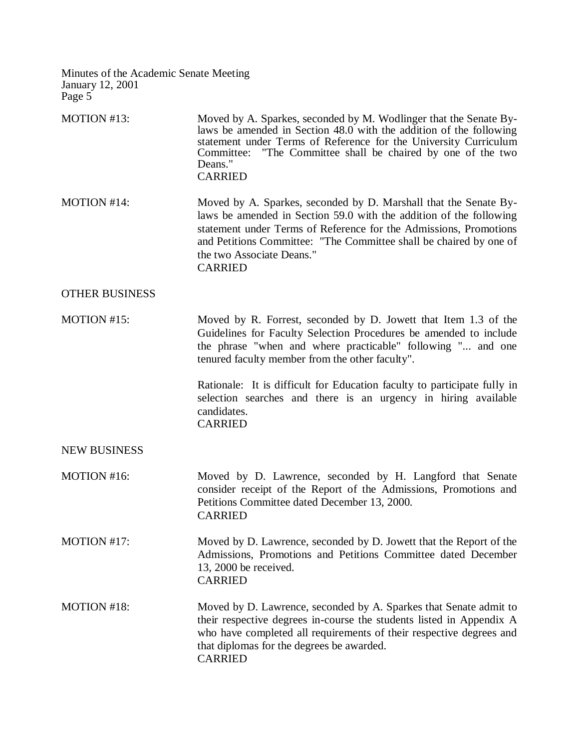| MOTION #13:           | Moved by A. Sparkes, seconded by M. Wodlinger that the Senate By-<br>laws be amended in Section 48.0 with the addition of the following<br>statement under Terms of Reference for the University Curriculum<br>Committee: "The Committee shall be chaired by one of the two<br>Deans."<br><b>CARRIED</b>                         |  |  |  |
|-----------------------|----------------------------------------------------------------------------------------------------------------------------------------------------------------------------------------------------------------------------------------------------------------------------------------------------------------------------------|--|--|--|
| MOTION #14:           | Moved by A. Sparkes, seconded by D. Marshall that the Senate By-<br>laws be amended in Section 59.0 with the addition of the following<br>statement under Terms of Reference for the Admissions, Promotions<br>and Petitions Committee: "The Committee shall be chaired by one of<br>the two Associate Deans."<br><b>CARRIED</b> |  |  |  |
| <b>OTHER BUSINESS</b> |                                                                                                                                                                                                                                                                                                                                  |  |  |  |
| MOTION #15:           | Moved by R. Forrest, seconded by D. Jowett that Item 1.3 of the<br>Guidelines for Faculty Selection Procedures be amended to include<br>the phrase "when and where practicable" following " and one<br>tenured faculty member from the other faculty".                                                                           |  |  |  |
|                       | Rationale: It is difficult for Education faculty to participate fully in<br>selection searches and there is an urgency in hiring available<br>candidates.<br><b>CARRIED</b>                                                                                                                                                      |  |  |  |
| <b>NEW BUSINESS</b>   |                                                                                                                                                                                                                                                                                                                                  |  |  |  |
| MOTION #16:           | Moved by D. Lawrence, seconded by H. Langford that Senate<br>consider receipt of the Report of the Admissions, Promotions and<br>Petitions Committee dated December 13, 2000.<br><b>CARRIED</b>                                                                                                                                  |  |  |  |
| MOTION #17:           | Moved by D. Lawrence, seconded by D. Jowett that the Report of the<br>Admissions, Promotions and Petitions Committee dated December<br>13, 2000 be received.<br><b>CARRIED</b>                                                                                                                                                   |  |  |  |
| MOTION #18:           | Moved by D. Lawrence, seconded by A. Sparkes that Senate admit to<br>their respective degrees in-course the students listed in Appendix A<br>who have completed all requirements of their respective degrees and<br>that diplomas for the degrees be awarded.<br><b>CARRIED</b>                                                  |  |  |  |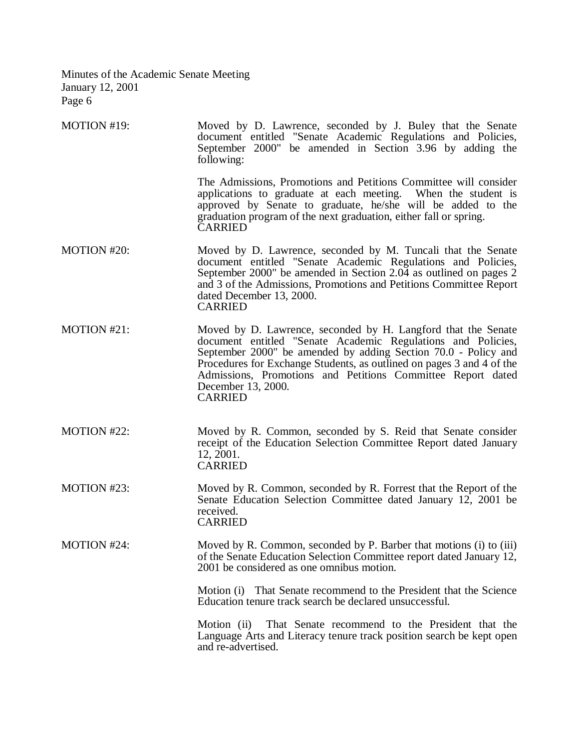| MOTION #19: | Moved by D. Lawrence, seconded by J. Buley that the Senate   |  |  |  |  |  |
|-------------|--------------------------------------------------------------|--|--|--|--|--|
|             | document entitled "Senate Academic Regulations and Policies, |  |  |  |  |  |
|             | September 2000" be amended in Section 3.96 by adding the     |  |  |  |  |  |
|             | following:                                                   |  |  |  |  |  |

The Admissions, Promotions and Petitions Committee will consider applications to graduate at each meeting. When the student is applications to graduate at each meeting. approved by Senate to graduate, he/she will be added to the graduation program of the next graduation, either fall or spring. CARRIED

- MOTION #20: Moved by D. Lawrence, seconded by M. Tuncali that the Senate document entitled "Senate Academic Regulations and Policies, September 2000" be amended in Section 2.04 as outlined on pages 2 and 3 of the Admissions, Promotions and Petitions Committee Report dated December 13, 2000. CARRIED
- MOTION #21: Moved by D. Lawrence, seconded by H. Langford that the Senate document entitled "Senate Academic Regulations and Policies, September 2000" be amended by adding Section 70.0 - Policy and Procedures for Exchange Students, as outlined on pages 3 and 4 of the Admissions, Promotions and Petitions Committee Report dated December 13, 2000. CARRIED
- MOTION #22: Moved by R. Common, seconded by S. Reid that Senate consider receipt of the Education Selection Committee Report dated January 12, 2001. CARRIED
- MOTION #23: Moved by R. Common, seconded by R. Forrest that the Report of the Senate Education Selection Committee dated January 12, 2001 be received. CARRIED

MOTION #24: Moved by R. Common, seconded by P. Barber that motions (i) to (iii) of the Senate Education Selection Committee report dated January 12, 2001 be considered as one omnibus motion.

> Motion (i) That Senate recommend to the President that the Science Education tenure track search be declared unsuccessful.

> Motion (ii) That Senate recommend to the President that the Language Arts and Literacy tenure track position search be kept open and re-advertised.